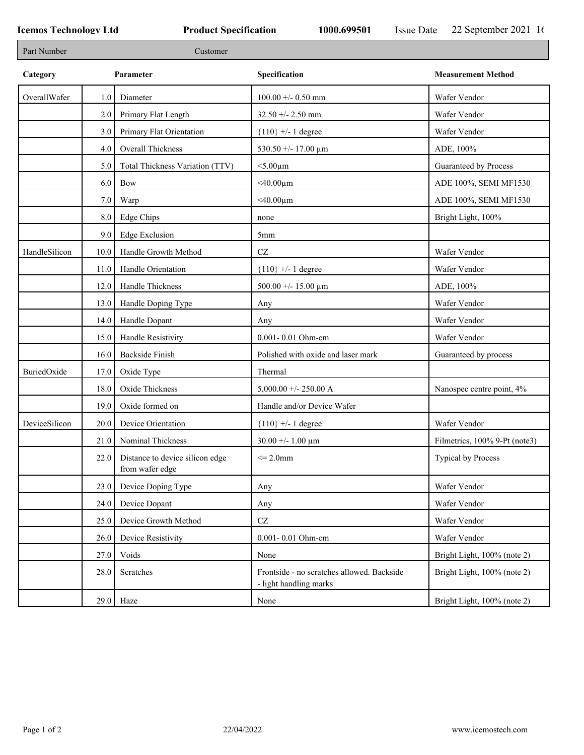| Part Number   |      | Customer                                           |                                                                      |                               |
|---------------|------|----------------------------------------------------|----------------------------------------------------------------------|-------------------------------|
| Category      |      | Parameter                                          | Specification                                                        | <b>Measurement Method</b>     |
| OverallWafer  | 1.0  | Diameter                                           | $100.00 +/- 0.50$ mm                                                 | Wafer Vendor                  |
|               | 2.0  | Primary Flat Length                                | $32.50 + - 2.50$ mm                                                  | Wafer Vendor                  |
|               | 3.0  | Primary Flat Orientation                           | ${110}$ +/- 1 degree                                                 | Wafer Vendor                  |
|               | 4.0  | Overall Thickness                                  | 530.50 +/- 17.00 $\mu$ m                                             | ADE, 100%                     |
|               | 5.0  | Total Thickness Variation (TTV)                    | $<$ 5.00 $\mu$ m                                                     | Guaranteed by Process         |
|               | 6.0  | Bow                                                | $<$ 40.00 $\mu$ m                                                    | ADE 100%, SEMI MF1530         |
|               | 7.0  | Warp                                               | $<$ 40.00 $\mu$ m                                                    | ADE 100%, SEMI MF1530         |
|               | 8.0  | <b>Edge Chips</b>                                  | none                                                                 | Bright Light, 100%            |
|               | 9.0  | Edge Exclusion                                     | 5 <sub>mm</sub>                                                      |                               |
| HandleSilicon | 10.0 | Handle Growth Method                               | CZ                                                                   | Wafer Vendor                  |
|               | 11.0 | Handle Orientation                                 | ${110}$ +/- 1 degree                                                 | Wafer Vendor                  |
|               | 12.0 | Handle Thickness                                   | 500.00 +/- 15.00 $\mu$ m                                             | ADE, 100%                     |
|               | 13.0 | Handle Doping Type                                 | Any                                                                  | Wafer Vendor                  |
|               | 14.0 | Handle Dopant                                      | Any                                                                  | Wafer Vendor                  |
|               | 15.0 | Handle Resistivity                                 | 0.001-0.01 Ohm-cm                                                    | Wafer Vendor                  |
|               | 16.0 | <b>Backside Finish</b>                             | Polished with oxide and laser mark                                   | Guaranteed by process         |
| BuriedOxide   | 17.0 | Oxide Type                                         | Thermal                                                              |                               |
|               | 18.0 | Oxide Thickness                                    | $5,000.00 +/- 250.00 A$                                              | Nanospec centre point, 4%     |
|               | 19.0 | Oxide formed on                                    | Handle and/or Device Wafer                                           |                               |
| DeviceSilicon | 20.0 | Device Orientation                                 | ${110}$ +/- 1 degree                                                 | Wafer Vendor                  |
|               | 21.0 | Nominal Thickness                                  | $30.00 + - 1.00 \mu m$                                               | Filmetrics, 100% 9-Pt (note3) |
|               | 22.0 | Distance to device silicon edge<br>from wafer edge | $\leq$ 2.0mm                                                         | Typical by Process            |
|               | 23.0 | Device Doping Type                                 | Any                                                                  | Wafer Vendor                  |
|               | 24.0 | Device Dopant                                      | Any                                                                  | Wafer Vendor                  |
|               | 25.0 | Device Growth Method                               | $\operatorname{CZ}$                                                  | Wafer Vendor                  |
|               | 26.0 | Device Resistivity                                 | 0.001-0.01 Ohm-cm                                                    | Wafer Vendor                  |
|               | 27.0 | Voids                                              | None                                                                 | Bright Light, 100% (note 2)   |
|               | 28.0 | Scratches                                          | Frontside - no scratches allowed. Backside<br>- light handling marks | Bright Light, 100% (note 2)   |
|               | 29.0 | Haze                                               | None                                                                 | Bright Light, 100% (note 2)   |